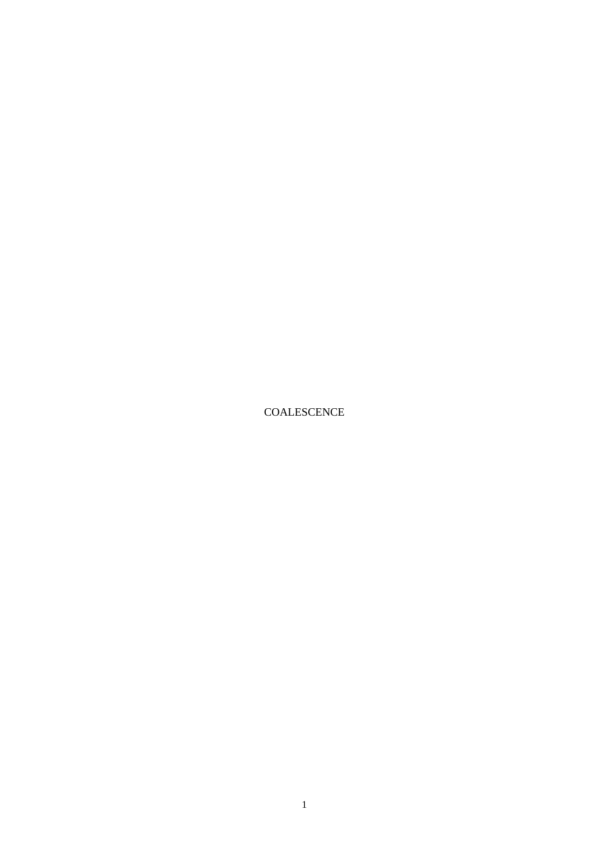COALESCENCE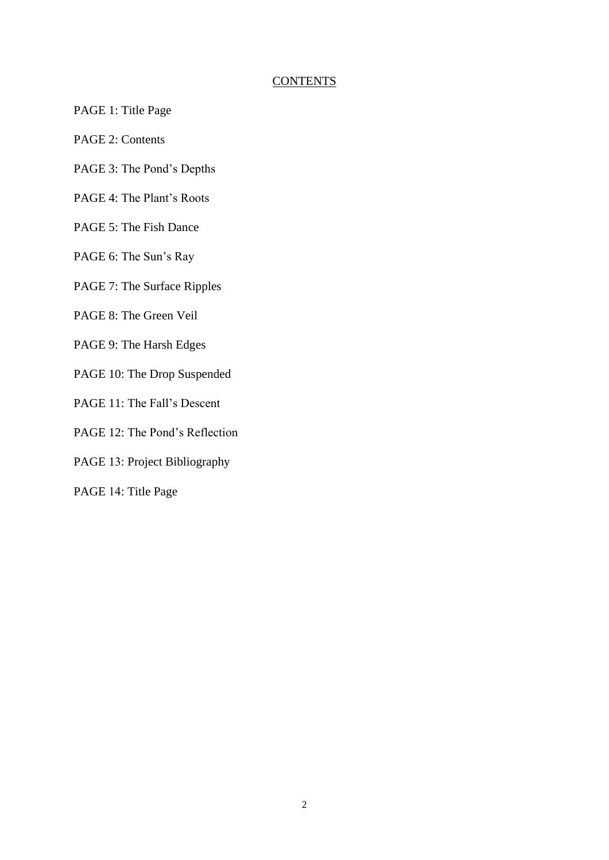## **CONTENTS**

- PAGE 1: Title Page
- PAGE 2: Contents
- PAGE 3: The Pond's Depths
- PAGE 4: The Plant's Roots
- PAGE 5: The Fish Dance
- PAGE 6: The Sun's Ray
- PAGE 7: The Surface Ripples
- PAGE 8: The Green Veil
- PAGE 9: The Harsh Edges
- PAGE 10: The Drop Suspended
- PAGE 11: The Fall's Descent
- PAGE 12: The Pond's Reflection
- PAGE 13: Project Bibliography
- PAGE 14: Title Page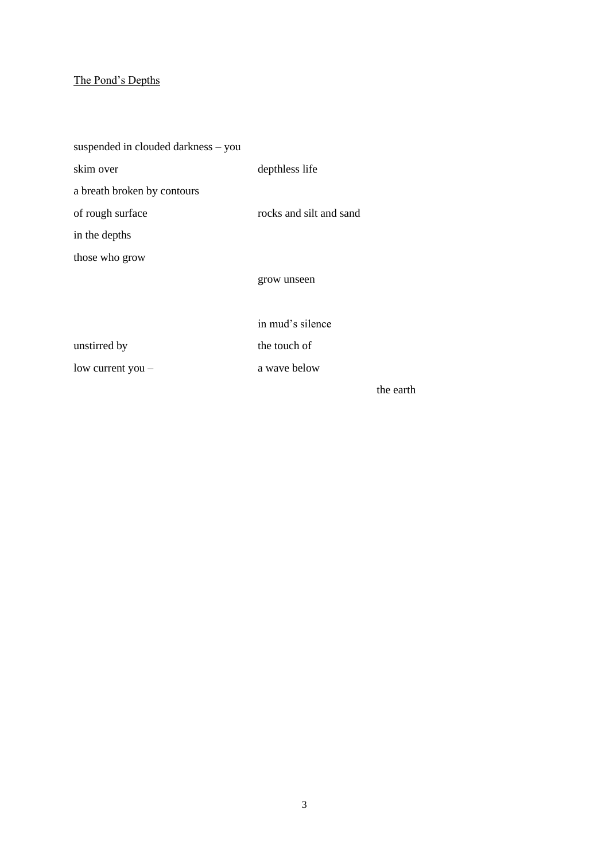# The Pond's Depths

| suspended in clouded darkness - you |                         |           |
|-------------------------------------|-------------------------|-----------|
| skim over                           | depthless life          |           |
| a breath broken by contours         |                         |           |
| of rough surface                    | rocks and silt and sand |           |
| in the depths                       |                         |           |
| those who grow                      |                         |           |
|                                     | grow unseen             |           |
|                                     |                         |           |
|                                     | in mud's silence        |           |
| unstirred by                        | the touch of            |           |
| low current you -                   | a wave below            |           |
|                                     |                         | the earth |

3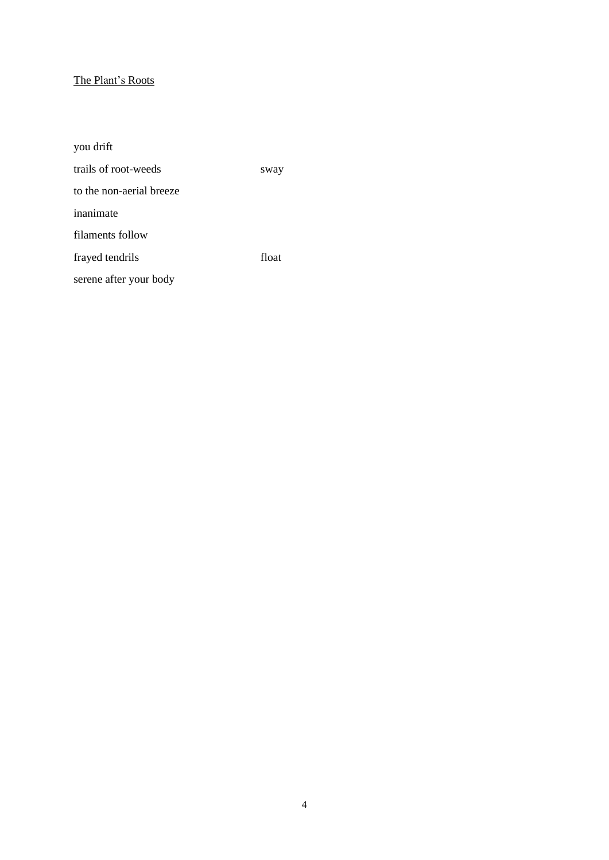# The Plant's Roots

| you drift                |       |
|--------------------------|-------|
| trails of root-weeds     | sway  |
| to the non-aerial breeze |       |
| inanimate                |       |
| filaments follow         |       |
| frayed tendrils          | float |
| serene after your body   |       |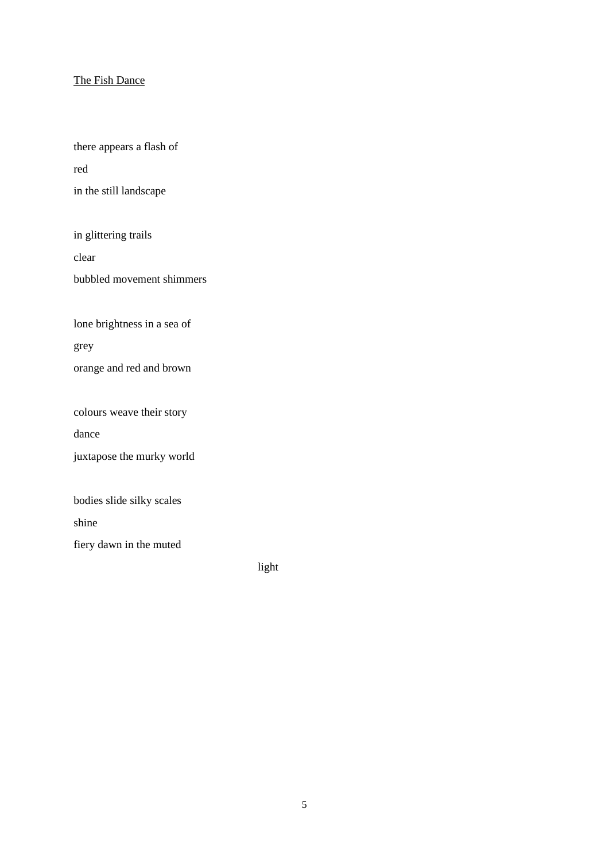### The Fish Dance

there appears a flash of red in the still landscape

in glittering trails clear

bubbled movement shimmers

lone brightness in a sea of

grey

orange and red and brown

colours weave their story

dance

juxtapose the murky world

bodies slide silky scales

shine

fiery dawn in the muted

light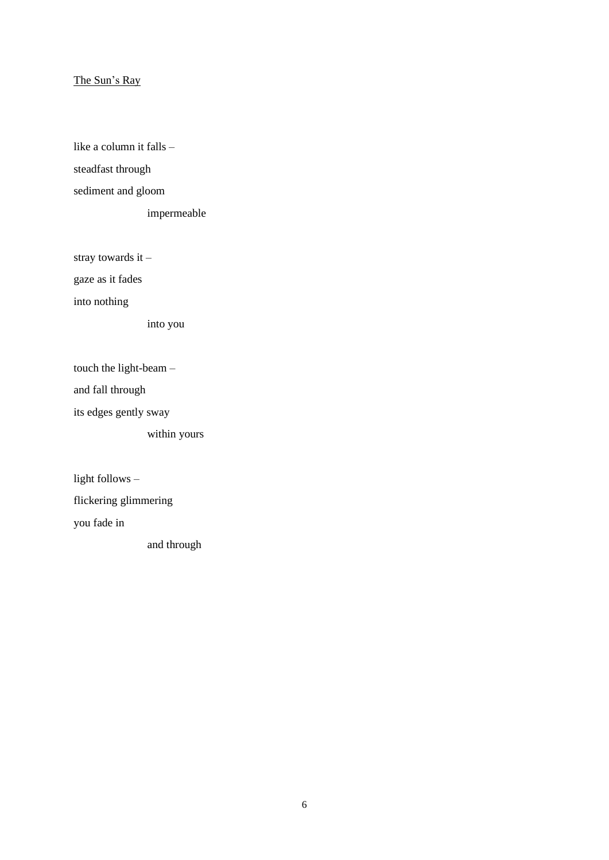### The Sun's Ray

like a column it falls – steadfast through sediment and gloom

impermeable

stray towards it –

gaze as it fades

into nothing

into you

touch the light-beam –

and fall through

its edges gently sway

within yours

light follows –

flickering glimmering

you fade in

and through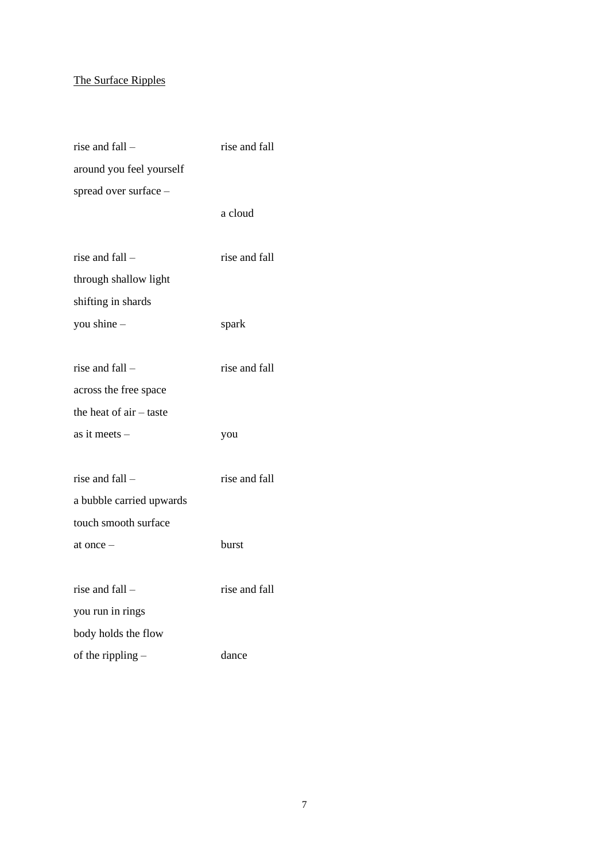# The Surface Ripples

| rise and fall -          | rise and fall |
|--------------------------|---------------|
| around you feel yourself |               |
| spread over surface -    |               |
|                          | a cloud       |
|                          |               |
| rise and fall -          | rise and fall |
| through shallow light    |               |
| shifting in shards       |               |
| you shine -              | spark         |
|                          |               |
| rise and fall –          | rise and fall |
| across the free space    |               |
| the heat of air – taste  |               |
| as it meets –            | you           |
|                          |               |
| rise and fall -          | rise and fall |
| a bubble carried upwards |               |
| touch smooth surface     |               |
| at once –                | burst         |
|                          |               |
| rise and fall -          | rise and fall |
| you run in rings         |               |
| body holds the flow      |               |
| of the rippling $-$      | dance         |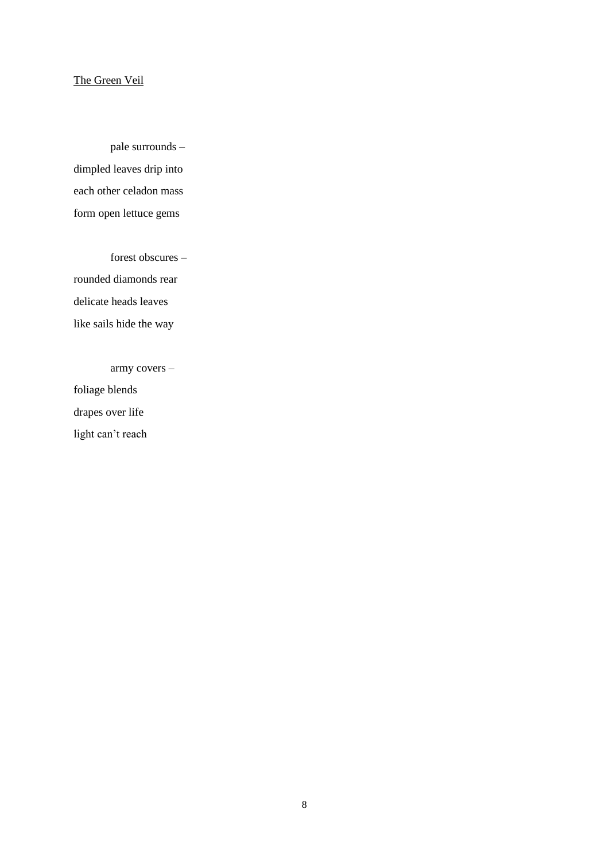## The Green Veil

pale surrounds – dimpled leaves drip into each other celadon mass form open lettuce gems

forest obscures – rounded diamonds rear delicate heads leaves like sails hide the way

army covers –

foliage blends drapes over life light can't reach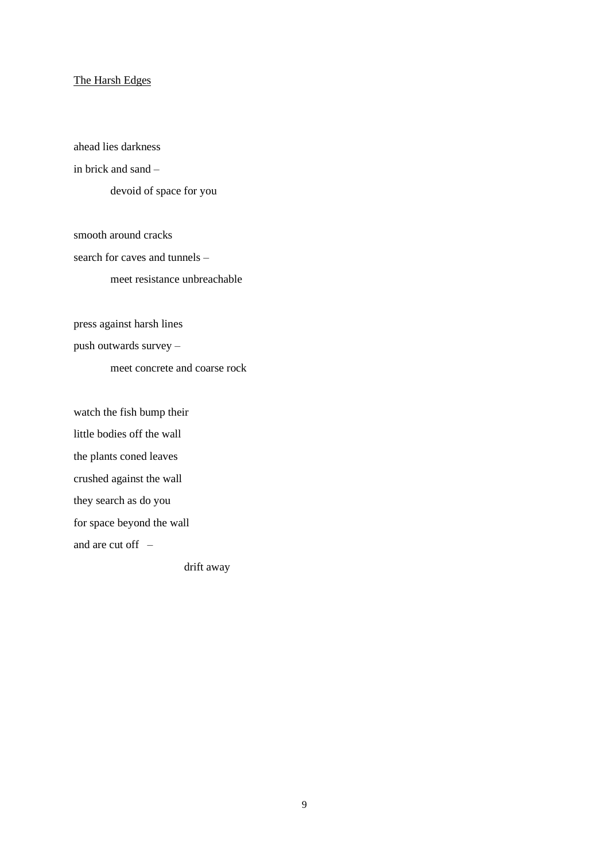#### The Harsh Edges

ahead lies darkness in brick and sand  $$ devoid of space for you

smooth around cracks search for caves and tunnels – meet resistance unbreachable

press against harsh lines

push outwards survey –

meet concrete and coarse rock

watch the fish bump their

little bodies off the wall

the plants coned leaves

crushed against the wall

they search as do you

for space beyond the wall

and are cut off  $-$ 

drift away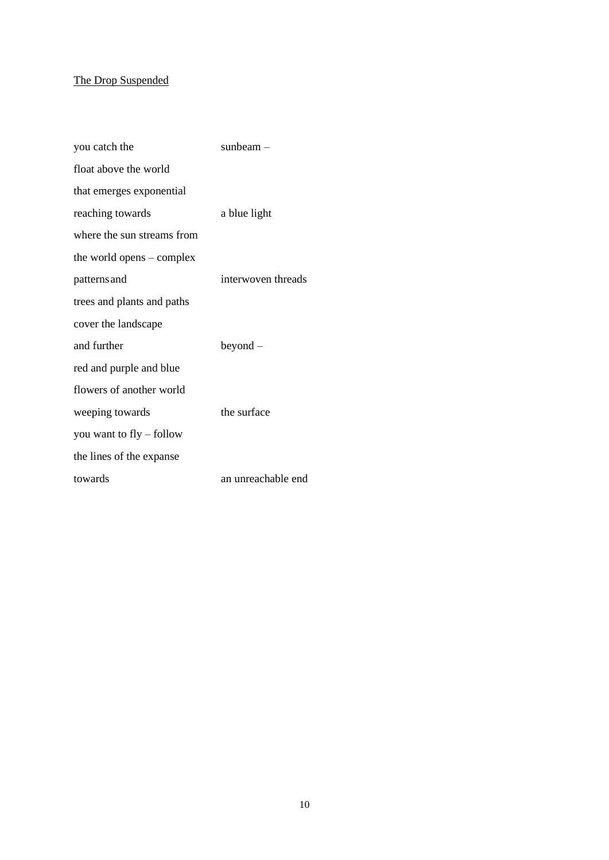# The Drop Suspended

| you catch the                     | sunbeam $-$        |
|-----------------------------------|--------------------|
| float above the world             |                    |
| that emerges exponential          |                    |
| reaching towards                  | a blue light       |
| where the sun streams from        |                    |
| the world opens $-\text{complex}$ |                    |
| patterns and                      | interwoven threads |
| trees and plants and paths        |                    |
| cover the landscape               |                    |
| and further                       | $beyond -$         |
| red and purple and blue           |                    |
| flowers of another world          |                    |
| weeping towards                   | the surface        |
| you want to fly – follow          |                    |
| the lines of the expanse          |                    |
| towards                           | an unreachable end |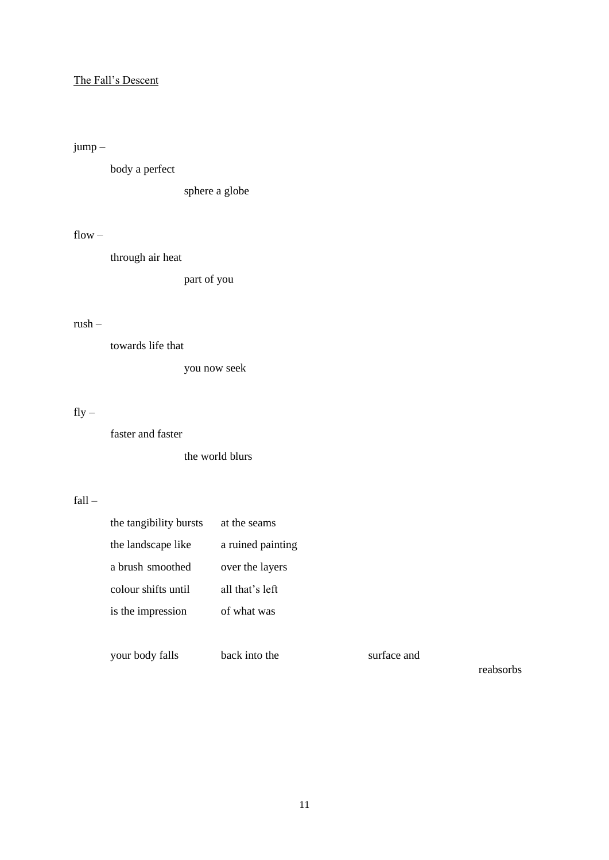## The Fall's Descent

# jump –

body a perfect

sphere a globe

## $flow -$

through air heat

part of you

### rush –

towards life that

you now seek

# $fly -$

faster and faster

the world blurs

## fall –

| the tangibility bursts | at the seams      |
|------------------------|-------------------|
| the landscape like     | a ruined painting |
| a brush smoothed       | over the layers   |
| colour shifts until    | all that's left   |
| is the impression      | of what was       |
|                        |                   |

your body falls back into the surface and

reabsorbs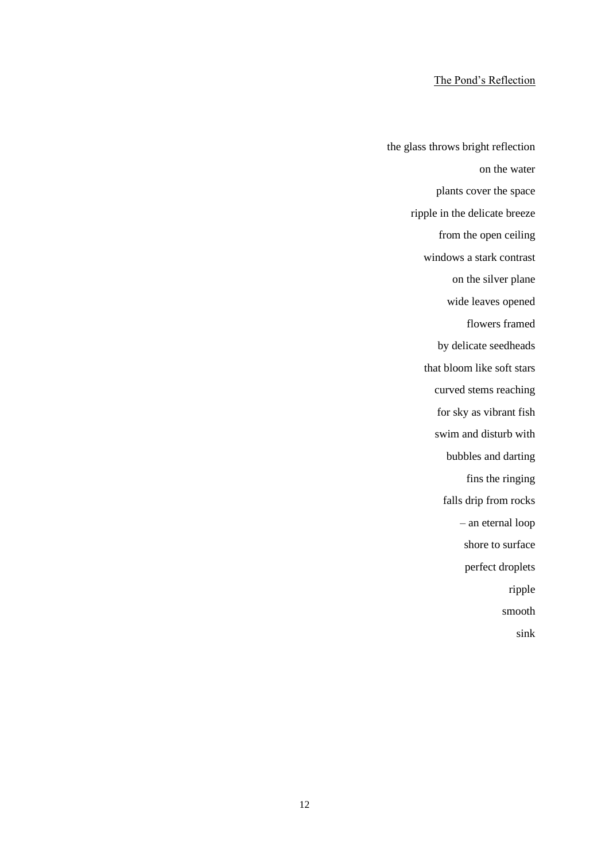### The Pond's Reflection

the glass throws bright reflection on the water plants cover the space ripple in the delicate breeze from the open ceiling windows a stark contrast on the silver plane wide leaves opened flowers framed by delicate seedheads that bloom like soft stars curved stems reaching for sky as vibrant fish swim and disturb with bubbles and darting fins the ringing falls drip from rocks – an eternal loop shore to surface perfect droplets ripple smooth sink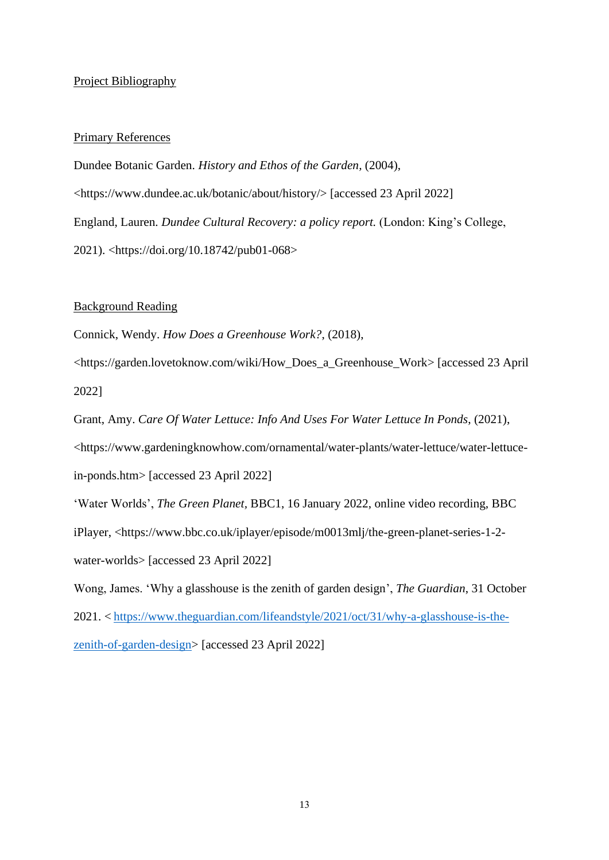### Project Bibliography

#### Primary References

Dundee Botanic Garden. *History and Ethos of the Garden,* (2004), <https://www.dundee.ac.uk/botanic/about/history/> [accessed 23 April 2022] England, Lauren. *Dundee Cultural Recovery: a policy report.* (London: King's College, 2021). <https://doi.org/10.18742/pub01-068>

Background Reading

Connick, Wendy. *How Does a Greenhouse Work?*, (2018),

<https://garden.lovetoknow.com/wiki/How\_Does\_a\_Greenhouse\_Work> [accessed 23 April 2022]

Grant, Amy. *Care Of Water Lettuce: Info And Uses For Water Lettuce In Ponds*, (2021), <https://www.gardeningknowhow.com/ornamental/water-plants/water-lettuce/water-lettucein-ponds.htm> [accessed 23 April 2022] 'Water Worlds', *The Green Planet,* BBC1, 16 January 2022, online video recording, BBC

iPlayer, <https://www.bbc.co.uk/iplayer/episode/m0013mlj/the-green-planet-series-1-2-

water-worlds> [accessed 23 April 2022]

Wong, James. 'Why a glasshouse is the zenith of garden design', *The Guardian*, 31 October 2021. < [https://www.theguardian.com/lifeandstyle/2021/oct/31/why-a-glasshouse-is-the](https://www.theguardian.com/lifeandstyle/2021/oct/31/why-a-glasshouse-is-the-zenith-of-garden-design)[zenith-of-garden-design>](https://www.theguardian.com/lifeandstyle/2021/oct/31/why-a-glasshouse-is-the-zenith-of-garden-design) [accessed 23 April 2022]